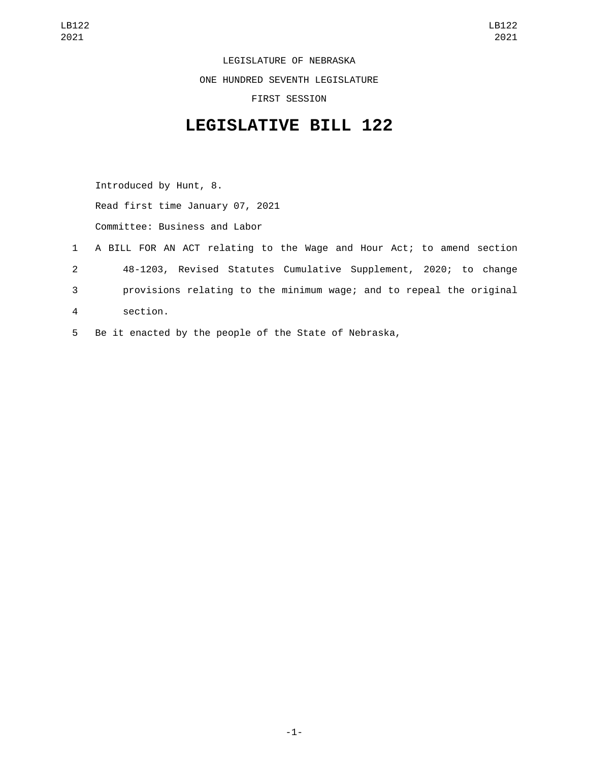LEGISLATURE OF NEBRASKA ONE HUNDRED SEVENTH LEGISLATURE FIRST SESSION

## **LEGISLATIVE BILL 122**

Introduced by Hunt, 8. Read first time January 07, 2021 Committee: Business and Labor

- 1 A BILL FOR AN ACT relating to the Wage and Hour Act; to amend section 2 48-1203, Revised Statutes Cumulative Supplement, 2020; to change 3 provisions relating to the minimum wage; and to repeal the original section.4
- 5 Be it enacted by the people of the State of Nebraska,